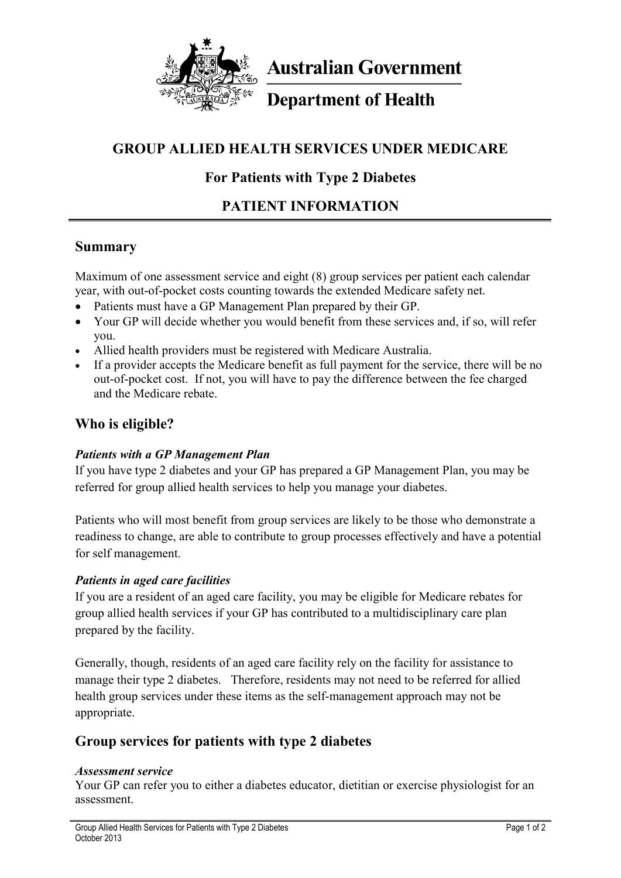

**Australian Government** 

# **Department of Health**

# **GROUP ALLIED HEALTH SERVICES UNDER MEDICARE**

# **For Patients with Type 2 Diabetes**

# **PATIENT INFORMATION**

#### **Summary**

Maximum of one assessment service and eight (8) group services per patient each calendar year, with out-of-pocket costs counting towards the extended Medicare safety net.

- Patients must have a GP Management Plan prepared by their GP.
- Your GP will decide whether you would benefit from these services and, if so, will refer you.
- Allied health providers must be registered with Medicare Australia.
- If a provider accepts the Medicare benefit as full payment for the service, there will be no out-of-pocket cost. If not, you will have to pay the difference between the fee charged and the Medicare rebate.

### **Who is eligible?**

#### *Patients with a GP Management Plan*

If you have type 2 diabetes and your GP has prepared a GP Management Plan, you may be referred for group allied health services to help you manage your diabetes.

Patients who will most benefit from group services are likely to be those who demonstrate a readiness to change, are able to contribute to group processes effectively and have a potential for self management.

#### *Patients in aged care facilities*

If you are a resident of an aged care facility, you may be eligible for Medicare rebates for group allied health services if your GP has contributed to a multidisciplinary care plan prepared by the facility.

Generally, though, residents of an aged care facility rely on the facility for assistance to manage their type 2 diabetes. Therefore, residents may not need to be referred for allied health group services under these items as the self-management approach may not be appropriate.

# **Group services for patients with type 2 diabetes**

#### *Assessment service*

Your GP can refer you to either a diabetes educator, dietitian or exercise physiologist for an assessment.